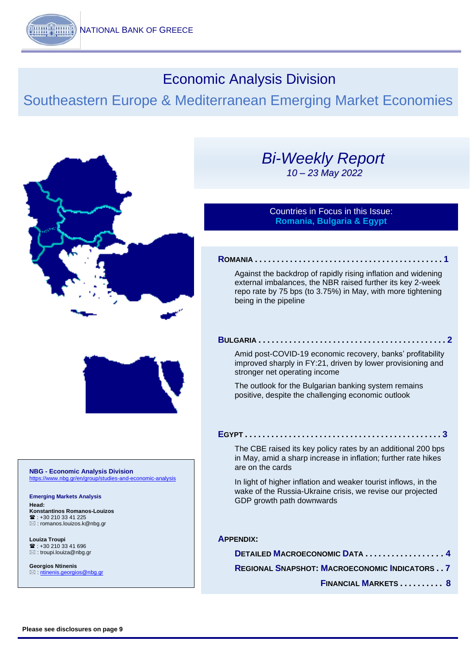# Economic Analysis Division

# Southeastern Europe & Mediterranean Emerging Market Economies



#### **NBG - Economic Analysis Division** https://www.nbg.gr/en/gro

**Emerging Markets Analysis Head: Konstantinos Romanos-Louizos**  $\mathbf{R}$ : +30 210 33 41 225 [: romanos.louizos.k@nbg.gr](mailto:romanos.louizos.k@nbg.gr)

**Louiza Troupi**   $\mathbf{R}$  : +30 210 33 41 696 [: troupi.louiza@nbg.gr](mailto:troupi.louiza@nbg.gr)

**Georgios Ntinenis** : [ntinenis.georgios@nbg.gr](mailto:ntinenis.georgios@nbg.gr)

# *Bi-Weekly Report 10 – 23 May 2022*

### Countries in Focus in this Issue: **Romania, Bulgaria & Egypt**

#### **R[OMANIA](#page-1-0) . . . . . . . . . . . . . . . . . . . . . . . . . . . . . . . . . . . . . . . . . . . 1**

[Against the backdrop of rapidly rising inflation and widening](#page-1-0)  [external imbalances, the NBR raised further its key 2-week](#page-1-0)  [repo rate by 75 bps \(to 3.75%\) in May, with more tightening](#page-1-0)  [being in the pipeline](#page-1-0)

#### **B[ULGARIA](#page-2-0) . . . . . . . . . . . . . . . . . . . . . . . . . . . . . . . . . . . . . . . . . . . [2](#page-2-0)**

[Amid post-COVID-19 economic recovery, banks' profitability](#page-2-0)  [improved sharply in FY:21, driven by lower provisioning and](#page-2-0)  [stronger net operating income](#page-2-0)

The outlook [for the Bulgarian banking system remains](#page-2-0)  [positive, despite the challenging economic outlook](#page-2-0)

#### **E[GYPT](#page-3-0) . . . . . . . . . . . . . . . . . . . . . . . . . . . . . . . . . . . . . . . . . . . . . 3**

[The CBE raised its key policy rates by an additional 200 bps](#page-3-0)  [in May, amid a sharp increase in inflation; further rate hikes](#page-3-0)  [are on the cards](#page-3-0)

[In light of higher inflation and weaker tourist inflows, in the](#page-3-0)  [wake of the Russia-Ukraine crisis, we revise our projected](#page-3-0)  [GDP growth path downwards](#page-3-0)

#### **A[PPENDIX](#page-4-0):**

DETAILED M[ACROECONOMIC](#page-4-0) DATA ............... **REGIONAL SNAPSHOT: M[ACROECONOMIC](#page-7-0) INDICATORS . . 7**

 **F[INANCIAL](#page-8-0) MARKETS . . . . . . . . . . 8**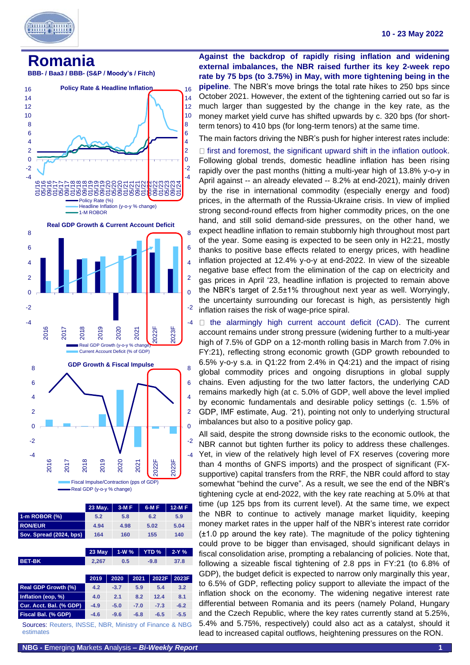

<span id="page-1-0"></span>



-4 -2  $\Omega$ -4 -2  $\Omega$ 2016 2017 2018 2019 2020 2021 2022F 2023F **Fiscal Impulse/Contraction (pps of GDP)** Real GDP (y-o-y % change)

|                         | 23 May. | $3-MF$ | $6-MF$ | $12-MF$ |
|-------------------------|---------|--------|--------|---------|
| 1-m ROBOR $(\%)$        | 5.2     | 5.8    | 6.2    | 5.9     |
| <b>RON/EUR</b>          | 4.94    | 4.98   | 5.02   | 5.04    |
| Sov. Spread (2024, bps) | 164     | 160    | 155    | 140     |

|                            | 23 May | $1-W%$ |        | <b>YTD %</b> |        | $2-Y%$ |
|----------------------------|--------|--------|--------|--------------|--------|--------|
| <b>BET-BK</b>              | 2,267  | 0.5    |        |              | $-9.8$ | 37.8   |
|                            |        |        |        |              |        |        |
|                            | 2019   | 2020   | 2021   |              | 2022F  | 2023F  |
|                            | 4.2    | $-3.7$ | 5.9    |              | 5.4    | 3.2    |
| Inflation (eop, %)         | 4.0    | 2.1    | 8.2    |              | 12.4   | 8.1    |
| Cur. Acct. Bal. (% GDP)    | $-4.9$ | $-5.0$ | $-7.0$ |              | $-7.3$ | $-6.2$ |
| Fiscal Bal. (% GDP)        | $-4.6$ | $-9.6$ | $-6.8$ |              | $-6.5$ | $-5.5$ |
| <b>Real GDP Growth (%)</b> |        |        |        |              |        |        |

Sources: Reuters, INSSE, NBR, Ministry of Finance & NBG estimates

**Against the backdrop of rapidly rising inflation and widening external imbalances, the NBR raised further its key 2-week repo rate by 75 bps (to 3.75%) in May, with more tightening being in the pipeline**. The NBR's move brings the total rate hikes to 250 bps since October 2021. However, the extent of the tightening carried out so far is much larger than suggested by the change in the key rate, as the money market yield curve has shifted upwards by c. 320 bps (for shortterm tenors) to 410 bps (for long-term tenors) at the same time.

The main factors driving the NBR's push for higher interest rates include:  $\Box$  first and foremost, the significant upward shift in the inflation outlook. Following global trends, domestic headline inflation has been rising rapidly over the past months (hitting a multi-year high of 13.8% y-o-y in April against -- an already elevated -- 8.2% at end-2021), mainly driven by the rise in international commodity (especially energy and food) prices, in the aftermath of the Russia-Ukraine crisis. In view of implied strong second-round effects from higher commodity prices, on the one hand, and still solid demand-side pressures, on the other hand, we expect headline inflation to remain stubbornly high throughout most part of the year. Some easing is expected to be seen only in H2:21, mostly thanks to positive base effects related to energy prices, with headline inflation projected at 12.4% y-o-y at end-2022. In view of the sizeable negative base effect from the elimination of the cap on electricity and gas prices in April '23, headline inflation is projected to remain above the NBR's target of 2.5±1% throughout next year as well. Worryingly, the uncertainty surrounding our forecast is high, as persistently high inflation raises the risk of wage-price spiral.

 $\Box$  the alarmingly high current account deficit (CAD). The current account remains under strong pressure (widening further to a multi-year high of 7.5% of GDP on a 12-month rolling basis in March from 7.0% in FY:21), reflecting strong economic growth (GDP growth rebounded to 6.5% y-o-y s.a. in Q1:22 from 2.4% in Q4:21) and the impact of rising global commodity prices and ongoing disruptions in global supply chains. Even adjusting for the two latter factors, the underlying CAD remains markedly high (at c. 5.0% of GDP, well above the level implied by economic fundamentals and desirable policy settings (c. 1.5% of GDP, IMF estimate, Aug. '21), pointing not only to underlying structural imbalances but also to a positive policy gap.

All said, despite the strong downside risks to the economic outlook, the NBR cannot but tighten further its policy to address these challenges. Yet, in view of the relatively high level of FX reserves (covering more than 4 months of GNFS imports) and the prospect of significant (FXsupportive) capital transfers from the RRF, the NBR could afford to stay somewhat "behind the curve". As a result, we see the end of the NBR's tightening cycle at end-2022, with the key rate reaching at 5.0% at that time (up 125 bps from its current level). At the same time, we expect the NBR to continue to actively manage market liquidity, keeping money market rates in the upper half of the NBR's interest rate corridor (±1.0 pp around the key rate). The magnitude of the policy tightening could prove to be bigger than envisaged, should significant delays in fiscal consolidation arise, prompting a rebalancing of policies. Note that, following a sizeable fiscal tightening of 2.8 pps in FY:21 (to 6.8% of GDP), the budget deficit is expected to narrow only marginally this year, to 6.5% of GDP, reflecting policy support to alleviate the impact of the inflation shock on the economy. The widening negative interest rate differential between Romania and its peers (namely Poland, Hungary and the Czech Republic, where the key rates currently stand at 5.25%, 5.4% and 5.75%, respectively) could also act as a catalyst, should it lead to increased capital outflows, heightening pressures on the RON.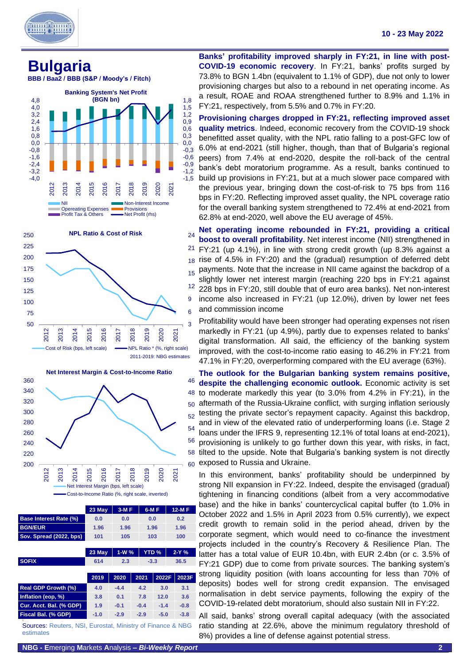

<span id="page-2-0"></span>**Bulgaria**







|                               | 23 May | $3-MF$ | $6-MF$       | $12-MF$ |
|-------------------------------|--------|--------|--------------|---------|
| <b>Base Interest Rate (%)</b> | 0.0    | 0.0    | 0.0          | 0.2     |
| <b>BGN/EUR</b>                | 1.96   | 1.96   | 1.96         | 1.96    |
| Sov. Spread (2022, bps)       | 101    | 105    | 103          | 100     |
|                               |        |        |              |         |
|                               | 23 May | $1-W%$ | <b>YTD %</b> | $2-Y%$  |

| <b>SOFIX</b>               | 614    | 2.3    | $-3.3$ |        | 36.5   |  |
|----------------------------|--------|--------|--------|--------|--------|--|
|                            | 2019   | 2020   | 2021   | 2022F  | 2023F  |  |
| <b>Real GDP Growth (%)</b> | 4.0    | $-4.4$ | 4.2    | 3.0    | 3.1    |  |
| Inflation (eop, %)         | 3.8    | 0.1    | 7.8    | 12.0   | 3.6    |  |
| Cur. Acct. Bal. (% GDP)    | 1.9    | $-0.1$ | $-0.4$ | $-1.4$ | $-0.8$ |  |
| Fiscal Bal. (% GDP)        | $-1.0$ | $-2.9$ | $-2.9$ | $-5.0$ | $-3.8$ |  |
|                            |        |        |        |        |        |  |

Sources: Reuters, NSI, Eurostat, Ministry of Finance & NBG estimates

**Banks' profitability improved sharply in FY:21, in line with post-COVID-19 economic recovery**. In FY:21, banks' profits surged by 73.8% to BGN 1.4bn (equivalent to 1.1% of GDP), due not only to lower provisioning charges but also to a rebound in net operating income. As a result, ROAE and ROAA strengthened further to 8.9% and 1.1% in FY:21, respectively, from 5.5% and 0.7% in FY:20.

**Provisioning charges dropped in FY:21, reflecting improved asset quality metrics**. Indeed, economic recovery from the COVID-19 shock benefitted asset quality, with the NPL ratio falling to a post-GFC low of 6.0% at end-2021 (still higher, though, than that of Bulgaria's regional peers) from 7.4% at end-2020, despite the roll-back of the central bank's debt moratorium programme. As a result, banks continued to build up provisions in FY:21, but at a much slower pace compared with the previous year, bringing down the cost-of-risk to 75 bps from 116 bps in FY:20. Reflecting improved asset quality, the NPL coverage ratio for the overall banking system strengthened to 72.4% at end-2021 from 62.8% at end-2020, well above the EU average of 45%.

12 15 18 rise of 4.5% in FY:20) and the (gradual) resumption of deferred debt 21 24 **Net operating income rebounded in FY:21, providing a critical boost to overall profitability**. Net interest income (NII) strengthened in FY:21 (up 4.1%), in line with strong credit growth (up 8.3% against a payments. Note that the increase in NII came against the backdrop of a slightly lower net interest margin (reaching 220 bps in FY:21 against 228 bps in FY:20, still double that of euro area banks). Net non-interest income also increased in FY:21 (up 12.0%), driven by lower net fees and commission income

Profitability would have been stronger had operating expenses not risen markedly in FY:21 (up 4.9%), partly due to expenses related to banks' digital transformation. All said, the efficiency of the banking system improved, with the cost-to-income ratio easing to 46.2% in FY:21 from 47.1% in FY:20, overperforming compared with the EU average (63%).

**The outlook for the Bulgarian banking system remains positive, despite the challenging economic outlook.** Economic activity is set to moderate markedly this year (to 3.0% from 4.2% in FY:21), in the aftermath of the Russia-Ukraine conflict, with surging inflation seriously testing the private sector's repayment capacity. Against this backdrop, and in view of the elevated ratio of underperforming loans (i.e. Stage 2 loans under the IFRS 9, representing 12.1% of total loans at end-2021), provisioning is unlikely to go further down this year, with risks, in fact, tilted to the upside. Note that Bulgaria's banking system is not directly exposed to Russia and Ukraine.

In this environment, banks' profitability should be underpinned by strong NII expansion in FY:22. Indeed, despite the envisaged (gradual) tightening in financing conditions (albeit from a very accommodative base) and the hike in banks' countercyclical capital buffer (to 1.0% in October 2022 and 1.5% in April 2023 from 0.5% currently), we expect credit growth to remain solid in the period ahead, driven by the corporate segment, which would need to co-finance the investment projects included in the country's Recovery & Resilience Plan. The latter has a total value of EUR 10.4bn, with EUR 2.4bn (or c. 3.5% of FY:21 GDP) due to come from private sources. The banking system's strong liquidity position (with loans accounting for less than 70% of deposits) bodes well for strong credit expansion. The envisaged normalisation in debt service payments, following the expiry of the COVID-19-related debt moratorium, should also sustain NII in FY:22.

All said, banks' strong overall capital adequacy (with the associated ratio standing at 22.6%, above the minimum regulatory threshold of 8%) provides a line of defense against potential stress.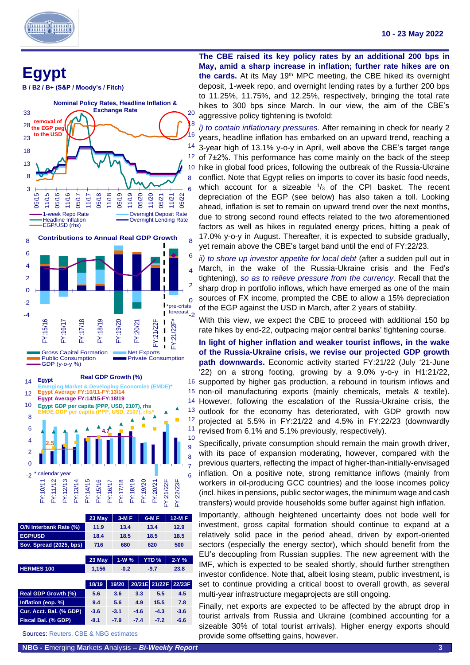Ϊ

# <span id="page-3-0"></span>**Egypt**

**B / B2 / B+ (S&P / Moody's / Fitch)**



|                            | 23 May | $1-W%$ |        | <b>YTD %</b>  | $2-Y%$ |
|----------------------------|--------|--------|--------|---------------|--------|
| <b>HERMES 100</b>          | 1,156  | $-0.2$ |        | $-9.7$        | 23.8   |
|                            |        |        |        |               |        |
|                            | 18/19  | 19/20  |        | 20/21E 21/22F | 22/23F |
| <b>Real GDP Growth (%)</b> | 5.6    | 3.6    | 3.3    | 5.5           | 4.5    |
| Inflation (eop. %)         | 9.4    | 5.6    | 4.9    | 15.5          | 7.8    |
| Cur. Acct. Bal. (% GDP)    | $-3.6$ | $-3.1$ | $-4.6$ | $-4.3$        | $-3.6$ |
| Fiscal Bal. (% GDP)        | $-8.1$ | $-7.9$ | $-7.4$ | $-7.2$        | $-6.6$ |
|                            |        |        |        |               |        |

Sources: Reuters, CBE & NBG estimates

**The CBE raised its key policy rates by an additional 200 bps in May, amid a sharp increase in inflation; further rate hikes are on**  the cards. At its May 19<sup>th</sup> MPC meeting, the CBE hiked its overnight deposit, 1-week repo, and overnight lending rates by a further 200 bps to 11.25%, 11.75%, and 12.25%, respectively, bringing the total rate hikes to 300 bps since March. In our view, the aim of the CBE's aggressive policy tightening is twofold:

*i) to contain inflationary pressures.* After remaining in check for nearly 2 years, headline inflation has embarked on an upward trend, reaching a 3-year high of 13.1% y-o-y in April, well above the CBE's target range of 7±2%. This performance has come mainly on the back of the steep hike in global food prices, following the outbreak of the Russia-Ukraine conflict. Note that Egypt relies on imports to cover its basic food needs, which account for a sizeable  $\frac{1}{3}$  of the CPI basket. The recent depreciation of the EGP (see below) has also taken a toll. Looking ahead, inflation is set to remain on upward trend over the next months, due to strong second round effects related to the two aforementioned factors as well as hikes in regulated energy prices, hitting a peak of 17.0% y-o-y in August. Thereafter, it is expected to subside gradually, yet remain above the CBE's target band until the end of FY:22/23.

*ii) to shore up investor appetite for local debt* (after a sudden pull out in March, in the wake of the Russia-Ukraine crisis and the Fed's tightening), *so as to relieve pressure from the currency*. Recall that the sharp drop in portfolio inflows, which have emerged as one of the main sources of FX income, prompted the CBE to allow a 15% depreciation of the EGP against the USD in March, after 2 years of stability.

With this view, we expect the CBE to proceed with additional 150 bp rate hikes by end-22, outpacing major central banks' tightening course.

14 However, following the escalation of the Russia-Ukraine crisis, the 15 non-oil manufacturing exports (mainly chemicals, metals & textile). 16 supported by higher gas production, a rebound in tourism inflows and **In light of higher inflation and weaker tourist inflows, in the wake of the Russia-Ukraine crisis, we revise our projected GDP growth path downwards.** Economic activity started FY:21/22 (July '21-June '22) on a strong footing, growing by a 9.0% y-o-y in H1:21/22, outlook for the economy has deteriorated, with GDP growth now projected at 5.5% in FY:21/22 and 4.5% in FY:22/23 (downwardly revised from 6.1% and 5.1% previously, respectively).

Specifically, private consumption should remain the main growth driver, with its pace of expansion moderating, however, compared with the previous quarters, reflecting the impact of higher-than-initially-envisaged inflation. On a positive note, strong remittance inflows (mainly from workers in oil-producing GCC countries) and the loose incomes policy (incl. hikes in pensions, public sector wages, the minimum wage and cash transfers) would provide households some buffer against high inflation.

Importantly, although heightened uncertainty does not bode well for investment, gross capital formation should continue to expand at a relatively solid pace in the period ahead, driven by export-oriented sectors (especially the energy sector), which should benefit from the EU's decoupling from Russian supplies. The new agreement with the IMF, which is expected to be sealed shortly, should further strengthen investor confidence. Note that, albeit losing steam, public investment, is set to continue providing a critical boost to overall growth, as several multi-year infrastructure megaprojects are still ongoing.

Finally, net exports are expected to be affected by the abrupt drop in tourist arrivals from Russia and Ukraine (combined accounting for a sizeable 30% of total tourist arrivals). Higher energy exports should provide some offsetting gains, however.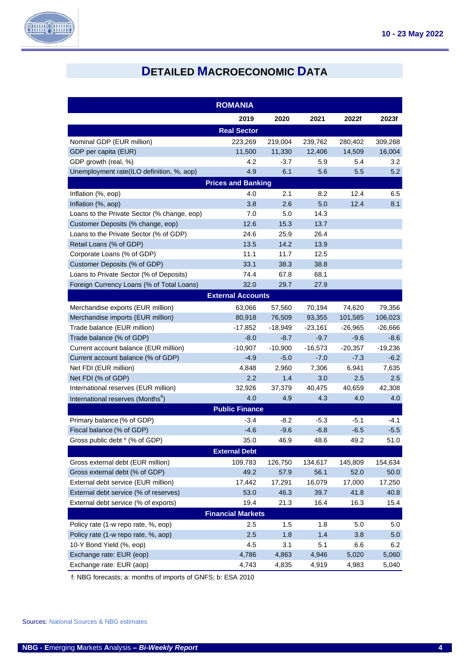

# **DETAILED MACROECONOMIC DATA**

<span id="page-4-0"></span>

| <b>ROMANIA</b>                                |                          |           |           |           |           |  |  |
|-----------------------------------------------|--------------------------|-----------|-----------|-----------|-----------|--|--|
|                                               | 2019                     | 2020      | 2021      | 2022f     | 2023f     |  |  |
|                                               | <b>Real Sector</b>       |           |           |           |           |  |  |
| Nominal GDP (EUR million)                     | 223,269                  | 219,004   | 239,762   | 280,402   | 309,268   |  |  |
| GDP per capita (EUR)                          | 11,500                   | 11,330    | 12,406    | 14,509    | 16,004    |  |  |
| GDP growth (real, %)                          | 4.2                      | $-3.7$    | 5.9       | 5.4       | 3.2       |  |  |
| Unemployment rate(ILO definition, %, aop)     | 4.9                      | 6.1       | 5.6       | 5.5       | 5.2       |  |  |
| <b>Prices and Banking</b>                     |                          |           |           |           |           |  |  |
| Inflation (%, eop)                            | 4.0                      | 2.1       | 8.2       | 12.4      | 6.5       |  |  |
| Inflation (%, aop)                            | 3.8                      | 2.6       | 5.0       | 12.4      | 8.1       |  |  |
| Loans to the Private Sector (% change, eop)   | 7.0                      | 5.0       | 14.3      |           |           |  |  |
| Customer Deposits (% change, eop)             | 12.6                     | 15.3      | 13.7      |           |           |  |  |
| Loans to the Private Sector (% of GDP)        | 24.6                     | 25.9      | 26.4      |           |           |  |  |
| Retail Loans (% of GDP)                       | 13.5                     | 14.2      | 13.9      |           |           |  |  |
| Corporate Loans (% of GDP)                    | 11.1                     | 11.7      | 12.5      |           |           |  |  |
| Customer Deposits (% of GDP)                  | 33.1                     | 38.3      | 38.8      |           |           |  |  |
| Loans to Private Sector (% of Deposits)       | 74.4                     | 67.8      | 68.1      |           |           |  |  |
| Foreign Currency Loans (% of Total Loans)     | 32.0                     | 29.7      | 27.9      |           |           |  |  |
|                                               | <b>External Accounts</b> |           |           |           |           |  |  |
| Merchandise exports (EUR million)             | 63,066                   | 57,560    | 70,194    | 74,620    | 79,356    |  |  |
| Merchandise imports (EUR million)             | 80,918                   | 76,509    | 93,355    | 101,585   | 106,023   |  |  |
| Trade balance (EUR million)                   | -17,852                  | $-18,949$ | $-23,161$ | $-26,965$ | $-26,666$ |  |  |
| Trade balance (% of GDP)                      | $-8.0$                   | $-8.7$    | $-9.7$    | $-9.6$    | $-8.6$    |  |  |
| Current account balance (EUR million)         | $-10,907$                | $-10,900$ | $-16,573$ | $-20,357$ | -19,236   |  |  |
| Current account balance (% of GDP)            | $-4.9$                   | $-5.0$    | $-7.0$    | $-7.3$    | $-6.2$    |  |  |
| Net FDI (EUR million)                         | 4,848                    | 2,960     | 7,306     | 6,941     | 7,635     |  |  |
| Net FDI (% of GDP)                            | 2.2                      | 1.4       | 3.0       | 2.5       | 2.5       |  |  |
| International reserves (EUR million)          | 32,926                   | 37,379    | 40,475    | 40,659    | 42,308    |  |  |
| International reserves (Months <sup>a</sup> ) | 4.0                      | 4.9       | 4.3       | 4.0       | 4.0       |  |  |
|                                               | <b>Public Finance</b>    |           |           |           |           |  |  |
| Primary balance (% of GDP)                    | $-3.4$                   | -8.2      | $-5.3$    | -5.1      | -4.1      |  |  |
| Fiscal balance (% of GDP)                     | $-4.6$                   | $-9.6$    | $-6.8$    | $-6.5$    | $-5.5$    |  |  |
| Gross public debt <sup>b</sup> (% of GDP)     | 35.0                     | 46.9      | 48.6      | 49.2      | 51.0      |  |  |
|                                               | <b>External Debt</b>     |           |           |           |           |  |  |
| Gross external debt (EUR million)             | 109,783                  | 126,750   | 134,617   | 145,809   | 154,634   |  |  |
| Gross external debt (% of GDP)                | 49.2                     | 57.9      | 56.1      | 52.0      | 50.0      |  |  |
| External debt service (EUR million)           | 17,442                   | 17,291    | 16,079    | 17,000    | 17,250    |  |  |
| External debt service (% of reserves)         | 53.0                     | 46.3      | 39.7      | 41.8      | 40.8      |  |  |
| External debt service (% of exports)          | 19.4                     | 21.3      | 16.4      | 16.3      | 15.4      |  |  |
|                                               | <b>Financial Markets</b> |           |           |           |           |  |  |
| Policy rate (1-w repo rate, %, eop)           | 2.5                      | 1.5       | 1.8       | 5.0       | 5.0       |  |  |
| Policy rate (1-w repo rate, %, aop)           | 2.5                      | 1.8       | 1.4       | 3.8       | 5.0       |  |  |
| 10-Y Bond Yield (%, eop)                      | 4.5                      | 3.1       | 5.1       | 6.6       | 6.2       |  |  |
| Exchange rate: EUR (eop)                      | 4,786                    | 4,863     | 4,946     | 5,020     | 5,060     |  |  |
| Exchange rate: EUR (aop)                      | 4,743                    | 4,835     | 4,919     | 4,983     | 5,040     |  |  |

f: NBG forecasts; a: months of imports of GNFS; b: ESA 2010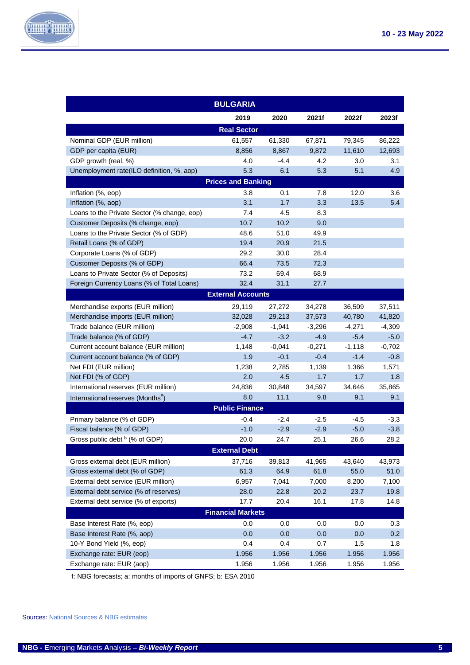

| <b>BULGARIA</b>                               |                           |          |          |          |          |  |  |
|-----------------------------------------------|---------------------------|----------|----------|----------|----------|--|--|
|                                               | 2019                      | 2020     | 2021f    | 2022f    | 2023f    |  |  |
|                                               | <b>Real Sector</b>        |          |          |          |          |  |  |
| Nominal GDP (EUR million)                     | 61,557                    | 61,330   | 67,871   | 79,345   | 86,222   |  |  |
| GDP per capita (EUR)                          | 8,856                     | 8,867    | 9,872    | 11,610   | 12,693   |  |  |
| GDP growth (real, %)                          | 4.0                       | $-4.4$   | 4.2      | 3.0      | 3.1      |  |  |
| Unemployment rate(ILO definition, %, aop)     | 5.3                       | 6.1      | 5.3      | 5.1      | 4.9      |  |  |
|                                               | <b>Prices and Banking</b> |          |          |          |          |  |  |
| Inflation (%, eop)                            | 3.8                       | 0.1      | 7.8      | 12.0     | 3.6      |  |  |
| Inflation (%, aop)                            | 3.1                       | 1.7      | 3.3      | 13.5     | 5.4      |  |  |
| Loans to the Private Sector (% change, eop)   | 7.4                       | 4.5      | 8.3      |          |          |  |  |
| Customer Deposits (% change, eop)             | 10.7                      | 10.2     | 9.0      |          |          |  |  |
| Loans to the Private Sector (% of GDP)        | 48.6                      | 51.0     | 49.9     |          |          |  |  |
| Retail Loans (% of GDP)                       | 19.4                      | 20.9     | 21.5     |          |          |  |  |
| Corporate Loans (% of GDP)                    | 29.2                      | 30.0     | 28.4     |          |          |  |  |
| Customer Deposits (% of GDP)                  | 66.4                      | 73.5     | 72.3     |          |          |  |  |
| Loans to Private Sector (% of Deposits)       | 73.2                      | 69.4     | 68.9     |          |          |  |  |
| Foreign Currency Loans (% of Total Loans)     | 32.4                      | 31.1     | 27.7     |          |          |  |  |
|                                               | <b>External Accounts</b>  |          |          |          |          |  |  |
| Merchandise exports (EUR million)             | 29,119                    | 27,272   | 34,278   | 36,509   | 37,511   |  |  |
| Merchandise imports (EUR million)             | 32,028                    | 29,213   | 37,573   | 40,780   | 41,820   |  |  |
| Trade balance (EUR million)                   | $-2,908$                  | $-1,941$ | $-3,296$ | $-4,271$ | $-4,309$ |  |  |
| Trade balance (% of GDP)                      | $-4.7$                    | $-3.2$   | $-4.9$   | $-5.4$   | $-5.0$   |  |  |
| Current account balance (EUR million)         | 1,148                     | -0,041   | $-0,271$ | $-1,118$ | $-0,702$ |  |  |
| Current account balance (% of GDP)            | 1.9                       | $-0.1$   | $-0.4$   | $-1.4$   | $-0.8$   |  |  |
| Net FDI (EUR million)                         | 1,238                     | 2,785    | 1,139    | 1,366    | 1,571    |  |  |
| Net FDI (% of GDP)                            | 2.0                       | 4.5      | 1.7      | 1.7      | 1.8      |  |  |
| International reserves (EUR million)          | 24,836                    | 30,848   | 34,597   | 34,646   | 35,865   |  |  |
| International reserves (Months <sup>a</sup> ) | 8.0                       | 11.1     | 9.8      | 9.1      | 9.1      |  |  |
|                                               | <b>Public Finance</b>     |          |          |          |          |  |  |
| Primary balance (% of GDP)                    | $-0.4$                    | -2.4     | $-2.5$   | -4.5     | $-3.3$   |  |  |
| Fiscal balance (% of GDP)                     | $-1.0$                    | $-2.9$   | $-2.9$   | $-5.0$   | $-3.8$   |  |  |
| Gross public debt <sup>b</sup> (% of GDP)     | 20.0                      | 24.7     | 25.1     | 26.6     | 28.2     |  |  |
|                                               | <b>External Debt</b>      |          |          |          |          |  |  |
| Gross external debt (EUR million)             | 37,716                    | 39,813   | 41,965   | 43,640   | 43,973   |  |  |
| Gross external debt (% of GDP)                | 61.3                      | 64.9     | 61.8     | 55.0     | 51.0     |  |  |
| External debt service (EUR million)           | 6,957                     | 7,041    | 7,000    | 8,200    | 7,100    |  |  |
| External debt service (% of reserves)         | 28.0                      | 22.8     | 20.2     | 23.7     | 19.8     |  |  |
| External debt service (% of exports)          | 17.7                      | 20.4     | 16.1     | 17.8     | 14.8     |  |  |
|                                               | <b>Financial Markets</b>  |          |          |          |          |  |  |
| Base Interest Rate (%, eop)                   | 0.0                       | 0.0      | 0.0      | 0.0      | 0.3      |  |  |
| Base Interest Rate (%, aop)                   | 0.0                       | 0.0      | 0.0      | 0.0      | 0.2      |  |  |
| 10-Y Bond Yield (%, eop)                      | 0.4                       | 0.4      | 0.7      | 1.5      | 1.8      |  |  |
| Exchange rate: EUR (eop)                      | 1.956                     | 1.956    | 1.956    | 1.956    | 1.956    |  |  |
| Exchange rate: EUR (aop)                      | 1.956                     | 1.956    | 1.956    | 1.956    | 1.956    |  |  |

f: NBG forecasts; a: months of imports of GNFS; b: ESA 2010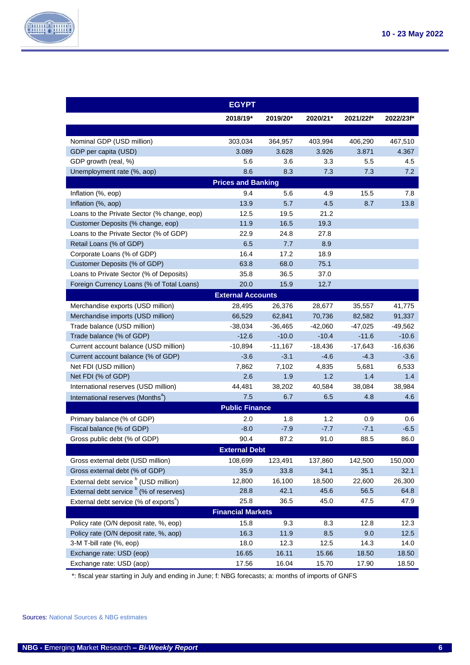

|                                                    | <b>EGYPT</b>              |           |           |           |           |
|----------------------------------------------------|---------------------------|-----------|-----------|-----------|-----------|
|                                                    | 2018/19*                  | 2019/20*  | 2020/21*  | 2021/22f* | 2022/23f* |
|                                                    |                           |           |           |           |           |
| Nominal GDP (USD million)                          | 303,034                   | 364,957   | 403,994   | 406,290   | 467,510   |
| GDP per capita (USD)                               | 3.089                     | 3.628     | 3.926     | 3.871     | 4.367     |
| GDP growth (real, %)                               | 5.6                       | 3.6       | 3.3       | 5.5       | 4.5       |
| Unemployment rate (%, aop)                         | 8.6                       | 8.3       | 7.3       | 7.3       | 7.2       |
|                                                    | <b>Prices and Banking</b> |           |           |           |           |
| Inflation (%, eop)                                 | 9.4                       | 5.6       | 4.9       | 15.5      | 7.8       |
| Inflation (%, aop)                                 | 13.9                      | 5.7       | 4.5       | 8.7       | 13.8      |
| Loans to the Private Sector (% change, eop)        | 12.5                      | 19.5      | 21.2      |           |           |
| Customer Deposits (% change, eop)                  | 11.9                      | 16.5      | 19.3      |           |           |
| Loans to the Private Sector (% of GDP)             | 22.9                      | 24.8      | 27.8      |           |           |
| Retail Loans (% of GDP)                            | 6.5                       | 7.7       | 8.9       |           |           |
| Corporate Loans (% of GDP)                         | 16.4                      | 17.2      | 18.9      |           |           |
| Customer Deposits (% of GDP)                       | 63.8                      | 68.0      | 75.1      |           |           |
| Loans to Private Sector (% of Deposits)            | 35.8                      | 36.5      | 37.0      |           |           |
| Foreign Currency Loans (% of Total Loans)          | 20.0                      | 15.9      | 12.7      |           |           |
|                                                    | <b>External Accounts</b>  |           |           |           |           |
| Merchandise exports (USD million)                  | 28,495                    | 26,376    | 28,677    | 35,557    | 41,775    |
| Merchandise imports (USD million)                  | 66,529                    | 62,841    | 70,736    | 82,582    | 91,337    |
| Trade balance (USD million)                        | $-38,034$                 | $-36,465$ | $-42,060$ | $-47,025$ | $-49,562$ |
| Trade balance (% of GDP)                           | $-12.6$                   | $-10.0$   | $-10.4$   | $-11.6$   | $-10.6$   |
| Current account balance (USD million)              | $-10,894$                 | $-11,167$ | $-18,436$ | $-17,643$ | $-16,636$ |
| Current account balance (% of GDP)                 | $-3.6$                    | $-3.1$    | $-4.6$    | $-4.3$    | $-3.6$    |
| Net FDI (USD million)                              | 7,862                     | 7,102     | 4,835     | 5,681     | 6,533     |
| Net FDI (% of GDP)                                 | 2.6                       | 1.9       | 1.2       | 1.4       | 1.4       |
| International reserves (USD million)               | 44,481                    | 38,202    | 40,584    | 38,084    | 38,984    |
| International reserves (Months <sup>a</sup> )      | 7.5                       | 6.7       | 6.5       | 4.8       | 4.6       |
|                                                    | <b>Public Finance</b>     |           |           |           |           |
| Primary balance (% of GDP)                         | 2.0                       | 1.8       | 1.2       | 0.9       | 0.6       |
| Fiscal balance (% of GDP)                          | $-8.0$                    | $-7.9$    | $-7.7$    | $-7.1$    | $-6.5$    |
| Gross public debt (% of GDP)                       | 90.4                      | 87.2      | 91.0      | 88.5      | 86.0      |
|                                                    | <b>External Debt</b>      |           |           |           |           |
| Gross external debt (USD million)                  | 108,699                   | 123,491   | 137,860   | 142,500   | 150,000   |
| Gross external debt (% of GDP)                     | 35.9                      | 33.8      | 34.1      | 35.1      | 32.1      |
| External debt service <sup>b</sup> (USD million)   | 12,800                    | 16,100    | 18,500    | 22,600    | 26,300    |
| External debt service <sup>b</sup> (% of reserves) | 28.8                      | 42.1      | 45.6      | 56.5      | 64.8      |
| External debt service (% of exports $\mathbf{S}$ ) | 25.8                      | 36.5      | 45.0      | 47.5      | 47.9      |
|                                                    | <b>Financial Markets</b>  |           |           |           |           |
| Policy rate (O/N deposit rate, %, eop)             | 15.8                      | 9.3       | 8.3       | 12.8      | 12.3      |
| Policy rate (O/N deposit rate, %, aop)             | 16.3                      | 11.9      | 8.5       | 9.0       | 12.5      |
| 3-M T-bill rate (%, eop)                           | 18.0                      | 12.3      | 12.5      | 14.3      | 14.0      |
| Exchange rate: USD (eop)                           | 16.65                     | 16.11     | 15.66     | 18.50     | 18.50     |
| Exchange rate: USD (aop)                           | 17.56                     | 16.04     | 15.70     | 17.90     | 18.50     |

\*: fiscal year starting in July and ending in June; f: NBG forecasts; a: months of imports of GNFS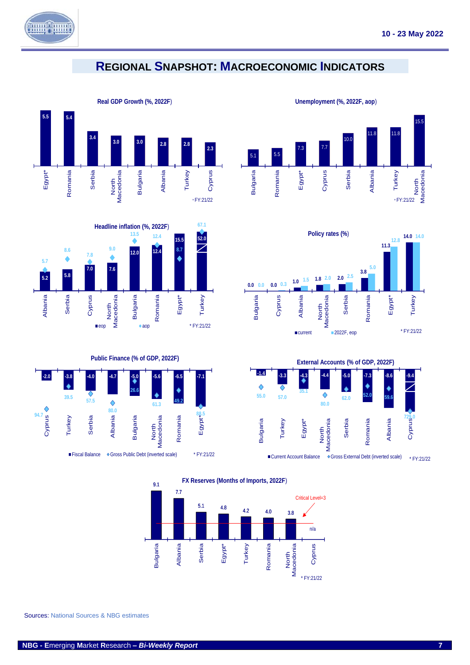

### <span id="page-7-0"></span>**REGIONAL SNAPSHOT: MACROECONOMIC INDICATORS**





**Public Finance (% of GDP, 2022F)**





**Unemployment (%, 2022F, aop**)





**FX Reserves (Months of Imports, 2022F**)



Sources: National Sources & NBG estimates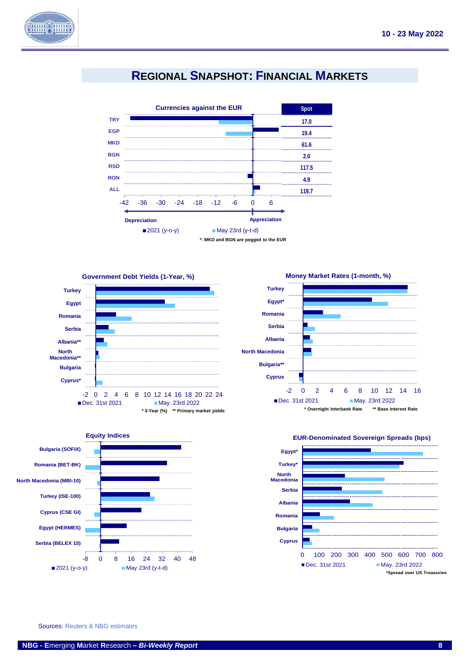

## **REGIONAL SNAPSHOT: FINANCIAL MARKETS**

<span id="page-8-0"></span>







**Money Market Rates (1-month, %)**





**EUR-Denominated Sovereign Spreads (bps)** 

Sources: Reuters & NBG estimates